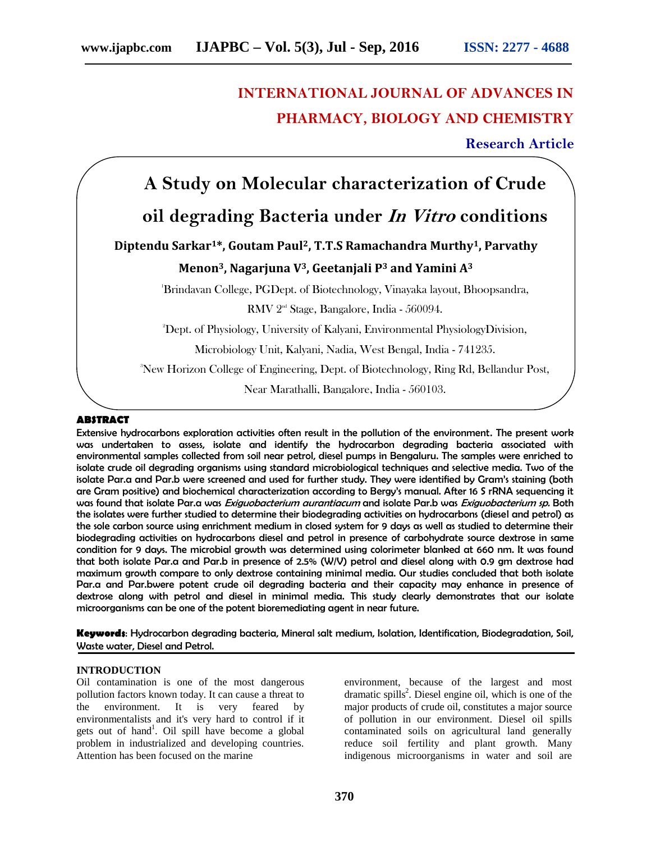# **INTERNATIONAL JOURNAL OF ADVANCES IN PHARMACY, BIOLOGY AND CHEMISTRY**

**Research Article**

# **ABSTRACT** Extensive hydrocarbons exploration activities often result in the pollution of the environment. The present work **A Study on Molecular characterization of Crude oil degrading Bacteria under** *In Vitro* **conditions Diptendu Sarkar1\*, Goutam Paul2, T.T.S Ramachandra Murthy1, Parvathy Menon3, Nagarjuna V3, Geetanjali P<sup>3</sup> and Yamini A<sup>3</sup>** <sup>1</sup>Brindavan College, PGDept. of Biotechnology, Vinayaka layout, Bhoopsandra, RMV 2<sup>nd</sup> Stage, Bangalore, India - 560094. <sup>2</sup>Dept. of Physiology, University of Kalyani, Environmental PhysiologyDivision, Microbiology Unit, Kalyani, Nadia, West Bengal, India - 741235. <sup>3</sup>New Horizon College of Engineering, Dept. of Biotechnology, Ring Rd, Bellandur Post, Near Marathalli, Bangalore, India - 560103.

was undertaken to assess, isolate and identify the hydrocarbon degrading bacteria associated with environmental samples collected from soil near petrol, diesel pumps in Bengaluru. The samples were enriched to isolate crude oil degrading organisms using standard microbiological techniques and selective media. Two of the isolate Par.a and Par.b were screened and used for further study. They were identified by Gram's staining (both are Gram positive) and biochemical characterization according to Bergy's manual. After 16 S rRNA sequencing it was found that isolate Par.a was*Exiguobacterium aurantiacum* and isolate Par.b was *Exiguobacterium sp.* Both the isolates were further studied to determine their biodegrading activities on hydrocarbons (diesel and petrol) as the sole carbon source using enrichment medium in closed system for 9 days as well as studied to determine their biodegrading activities on hydrocarbons diesel and petrol in presence of carbohydrate source dextrose in same condition for 9 days. The microbial growth was determined using colorimeter blanked at 660 nm. It was found that both isolate Par.a and Par.b in presence of 2.5% (W/V) petrol and diesel along with 0.9 gm dextrose had maximum growth compare to only dextrose containing minimal media. Our studies concluded that both isolate Par.a and Par.bwere potent crude oil degrading bacteria and their capacity may enhance in presence of dextrose along with petrol and diesel in minimal media. This study clearly demonstrates that our isolate microorganisms can be one of the potent bioremediating agent in near future.

**Keywords**: Hydrocarbon degrading bacteria, Mineral salt medium, Isolation, Identification, Biodegradation, Soil, Waste water, Diesel and Petrol.

# **INTRODUCTION**

Oil contamination is one of the most dangerous pollution factors known today. It can cause a threat to the environment. It is very feared by environmentalists and it's very hard to control if it gets out of hand<sup>1</sup>. Oil spill have become a global problem in industrialized and developing countries. Attention has been focused on the marine

environment, because of the largest and most dramatic spills<sup>2</sup>. Diesel engine oil, which is one of the major products of crude oil, constitutes a major source of pollution in our environment. Diesel oil spills contaminated soils on agricultural land generally reduce soil fertility and plant growth. Many indigenous microorganisms in water and soil are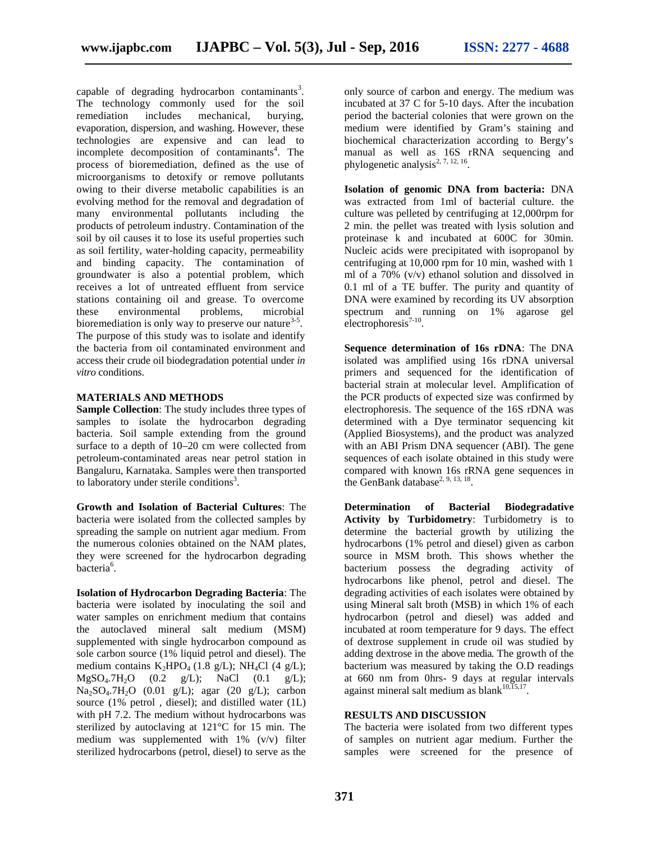capable of degrading hydrocarbon contaminants<sup>3</sup>. The technology commonly used for the soil remediation includes mechanical, burying, evaporation, dispersion, and washing. However, these technologies are expensive and can lead to incomplete decomposition of contaminants<sup>4</sup>. The process of bioremediation, defined as the use of microorganisms to detoxify or remove pollutants owing to their diverse metabolic capabilities is an evolving method for the removal and degradation of many environmental pollutants including the products of petroleum industry. Contamination of the soil by oil causes it to lose its useful properties such as soil fertility, water-holding capacity, permeability and binding capacity. The contamination of groundwater is also a potential problem, which receives a lot of untreated effluent from service stations containing oil and grease. To overcome these environmental problems, microbial bioremediation is only way to preserve our nature $3-5$ . The purpose of this study was to isolate and identify the bacteria from oil contaminated environment and access their crude oil biodegradation potential under *in vitro* conditions.

# **MATERIALS AND METHODS**

**Sample Collection**: The study includes three types of samples to isolate the hydrocarbon degrading bacteria. Soil sample extending from the ground surface to a depth of 10–20 cm were collected from petroleum-contaminated areas near petrol station in Bangaluru, Karnataka. Samples were then transported to laboratory under sterile conditions<sup>3</sup>.

**Growth and Isolation of Bacterial Cultures**: The bacteria were isolated from the collected samples by spreading the sample on nutrient agar medium. From the numerous colonies obtained on the NAM plates, they were screened for the hydrocarbon degrading bacteria<sup>6</sup>.

**Isolation of Hydrocarbon Degrading Bacteria**: The bacteria were isolated by inoculating the soil and water samples on enrichment medium that contains the autoclaved mineral salt medium (MSM) supplemented with single hydrocarbon compound as sole carbon source (1% liquid petrol and diesel). The medium contains  $K_2HPO_4 (1.8 g/L)$ ; NH<sub>4</sub>Cl (4 g/L);<br>MgSO<sub>4</sub>.7H<sub>2</sub>O (0.2 g/L); NaCl (0.1 g/L); (0.2 g/L); NaCl  $(0.1 \text{ g/L});$ Na<sub>2</sub>SO<sub>4</sub>.7H<sub>2</sub>O (0.01 g/L); agar (20 g/L); carbon source (1% petrol , diesel); and distilled water (1L) with pH 7.2. The medium without hydrocarbons was sterilized by autoclaving at 121°C for 15 min. The medium was supplemented with 1% (v/v) filter sterilized hydrocarbons (petrol, diesel) to serve as the

only source of carbon and energy. The medium was incubated at 37 C for 5-10 days. After the incubation period the bacterial colonies that were grown on the medium were identified by Gram's staining and biochemical characterization according to Bergy's manual as well as 16S rRNA sequencing and phylogenetic analysis<sup>2, 7, 12, 16</sup>.

**Isolation of genomic DNA from bacteria:** DNA was extracted from 1ml of bacterial culture. the culture was pelleted by centrifuging at 12,000rpm for 2 min. the pellet was treated with lysis solution and proteinase k and incubated at 600C for 30min. Nucleic acids were precipitated with isopropanol by centrifuging at 10,000 rpm for 10 min, washed with 1 ml of a  $70\%$  (v/v) ethanol solution and dissolved in 0.1 ml of a TE buffer. The purity and quantity of DNA were examined by recording its UV absorption spectrum and running on 1% agarose gel  $electrophoresis<sup>7-10</sup>$ .

**Sequence determination of 16s rDNA**: The DNA isolated was amplified using 16s rDNA universal primers and sequenced for the identification of bacterial strain at molecular level. Amplification of the PCR products of expected size was confirmed by electrophoresis. The sequence of the 16S rDNA was determined with a Dye terminator sequencing kit (Applied Biosystems), and the product was analyzed with an ABI Prism DNA sequencer (ABI). The gene sequences of each isolate obtained in this study were compared with known 16s rRNA gene sequences in the GenBank database<sup>2, 9, 13, 18</sup>.

**Determination of Bacterial Biodegradative Activity by Turbidometry**: Turbidometry is to determine the bacterial growth by utilizing the hydrocarbons (1% petrol and diesel) given as carbon source in MSM broth. This shows whether the bacterium possess the degrading activity of hydrocarbons like phenol, petrol and diesel. The degrading activities of each isolates were obtained by using Mineral salt broth (MSB) in which 1% of each hydrocarbon (petrol and diesel) was added and incubated at room temperature for 9 days. The effect of dextrose supplement in crude oil was studied by adding dextrose in the above media. The growth of the bacterium was measured by taking the O.D readings at 660 nm from 0hrs- 9 days at regular intervals against mineral salt medium as blank<sup>10,15,17</sup>.

# **RESULTS AND DISCUSSION**

The bacteria were isolated from two different types of samples on nutrient agar medium. Further the samples were screened for the presence of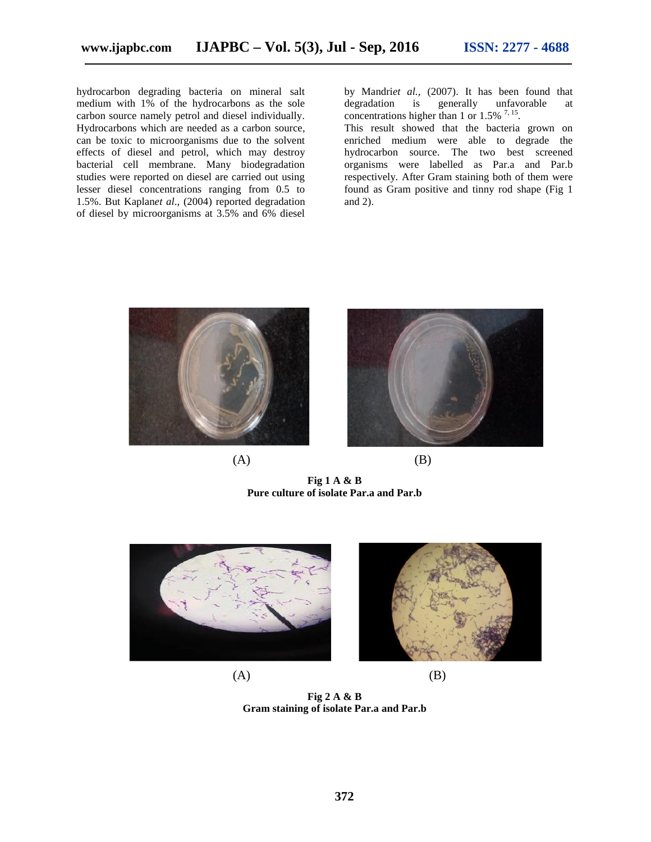hydrocarbon degrading bacteria on mineral salt medium with 1% of the hydrocarbons as the sole carbon source namely petrol and diesel individually. Hydrocarbons which are needed as a carbon source, can be toxic to microorganisms due to the solvent effects of diesel and petrol, which may destroy bacterial cell membrane. Many biodegradation studies were reported on diesel are carried out using lesser diesel concentrations ranging from 0.5 to 1.5%. But Kaplan*et al*., (2004) reported degradation of diesel by microorganisms at 3.5% and 6% diesel by Mandri*et al.,* (2007). It has been found that degradation is generally unfavorable at concentrations higher than 1 or  $1.5\%$ <sup>7, 15</sup>.

This result showed that the bacteria grown on enriched medium were able to degrade the hydrocarbon source. The two best screened organisms were labelled as Par.a and Par.b respectively. After Gram staining both of them were found as Gram positive and tinny rod shape (Fig 1 and 2).



 $(A)$  (B)



**Fig 1 A & B Pure culture of isolate Par.a and Par.b**



 $(A)$  (B)



**Fig 2 A & B Gram staining of isolate Par.a and Par.b**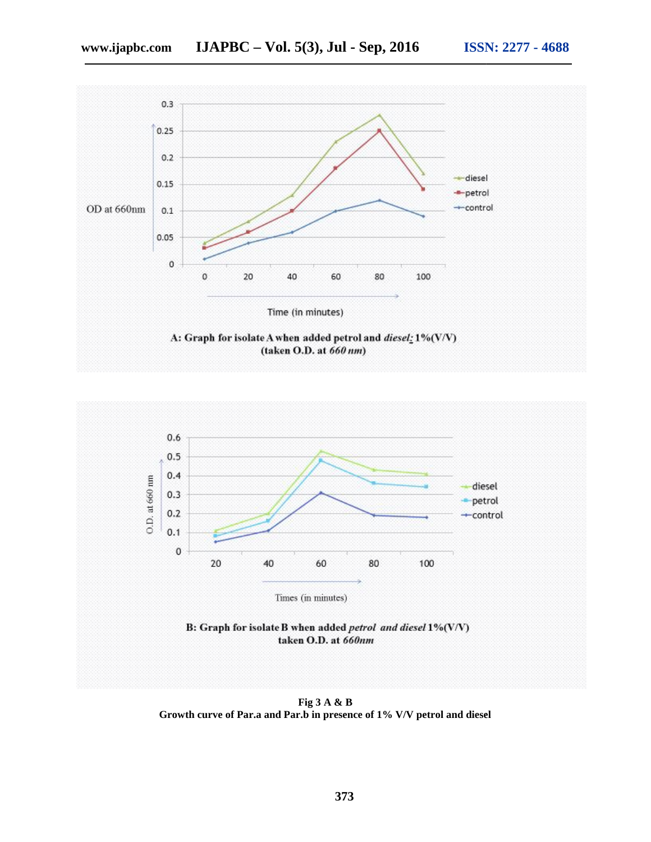



**Fig 3 A & B Fig 3 A & B**<br>Growth curve of Par.a and Par.b in presence of 1% V/V petrol and diesel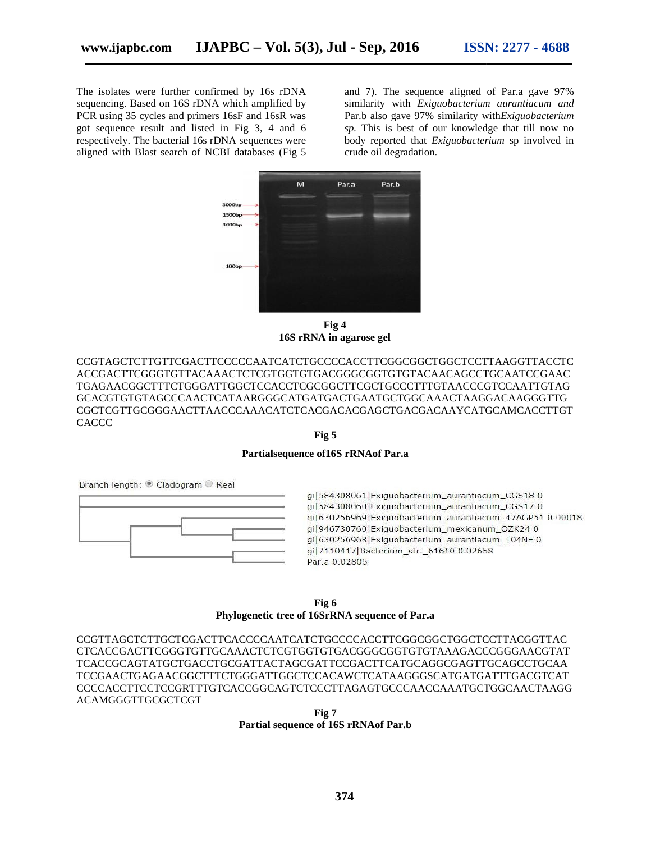The isolates were further confirmed by 16s rDNA sequencing. Based on 16S rDNA which amplified by PCR using 35 cycles and primers 16sF and 16sR was PCR using 35 cycles and primers 16sF and 16sR was<br>got sequence result and listed in Fig 3, 4 and 6 respectively. The bacterial 16s rDNA sequences were respectively. The bacterial 16s rDNA sequences were<br>aligned with Blast search of NCBI databases (Fig 5

**i WWW.ijapbc.com IJAPBC** – **Vol.** 5(3), **Jul** - Sep, 2016 **ISSN:** 2277 - 4688<br>
The isolates were further confirmed by 16s rDNA and 7). The sequence aligned of Par.a gave 97% equencing. Based on 16S rDNA which amplifie and 7). The sequence aligned of Par.a gave 97% similarity with *Exiguobacterium aurantiacum and* Par.b also gave 97% similarity with*Exiguobacterium sp.* This is best of our knowledge that till now no body reported that *Exiguobacterium* sp involved in crude oil degradation. degradation.and 7). The sequence aligned of Par.a gave 97%<br>similarity with *Exiguobacterium aurantiacum and*<br>Par.b also gave 97% similarity with *Exiguobacterium*<br>sp. This is best of our knowledge that till now no<br>body reported that



**Fig 4 16S rRNA in agarose gel** 

CCGTAGCTCTTGTTCGACTTCCCCCAATCATCTGCCCCACCTTCGGCGGCTGGCTCCTTAAGGTTACCTC ACCGACTTCGGGTGTTACAAACTCTCGTGGTGTGACGGGCGGTGTGTACAACAGCCTGCAATCCGAAC TGAGAACGGCTTTCTGGGATTGGCTCCACCTCGCGGCTTCGCTGCCCTTTGTAACCCGTCCAATTGTAG GCACGTGTGTAGCCCAACTCATAARGGGCATGATGACTGAATGCTGGCAAACTAAGGACAAGGGTTG CGCTCGTTGCGGGAACTTAACCCAAACATCTCACGACACGAGCTGACGACAAYCATGCAMCACCTTGT **CACCC** 

#### **Fig 5**

# **Partialsequence of16S rRNAof Par.a**



gil 584308061 l Exiquobacterium\_aurantiacum\_CGS18\_0 gil 584308060 [Exiguobacterium\_aurantiacum\_CGS1/0 gi]630256969[Exiguobacterium\_aurantiacum\_47AGP51\_0.00018 gi|946730760|Exiguobacterium\_mexicanum\_OZK24 0 gi|630256968|Exiguobacterium\_aurantiacum\_104NE 0 gi|7110417|Bacterium\_str.\_61610 0.02658 Par.a 0.02806

#### **Fig 6 Phylogenetic tree of 16SrRNA sequence of Par.a**

CCGTTAGCTCTTGCTCGACTTCACCCCAATCATCTGCCCCACCTTCGGCGGCTGGCTCCTTACGGTTAC CCGTTAGCTCTTGCTCGACTTCACCCCAATCATCTGCCCCACCTTCGGCGGCTGGCTCCTTACGGTTACCTCACCGACTTCGGGTGTTGCAAACTCTCGTGGTGTGACGGGCGGTGTGTAAAGACCCGGGAACGTAT TCACCGCAGTATGCTGACCTGCGATTACTAGCGATTCCGACTTCATGCAGGCGAGTTGCAGCCTGCAA TCCGAACTGAGAACGGCTTTCTGGGATTGGCTCCACAWCTCATAAGGGSCATGATGATTTGACGTCAT CCCCACCTTCCTCCGRTTTGTCACCGGCAGTCTCCCTTAGAGTGCCCAACCAAATGCTGGCAACTAAGG ACAMGGGTTGCGCTCGT

**Fig 7 Partial sequence of 16S rRNAof Par.b of 16S**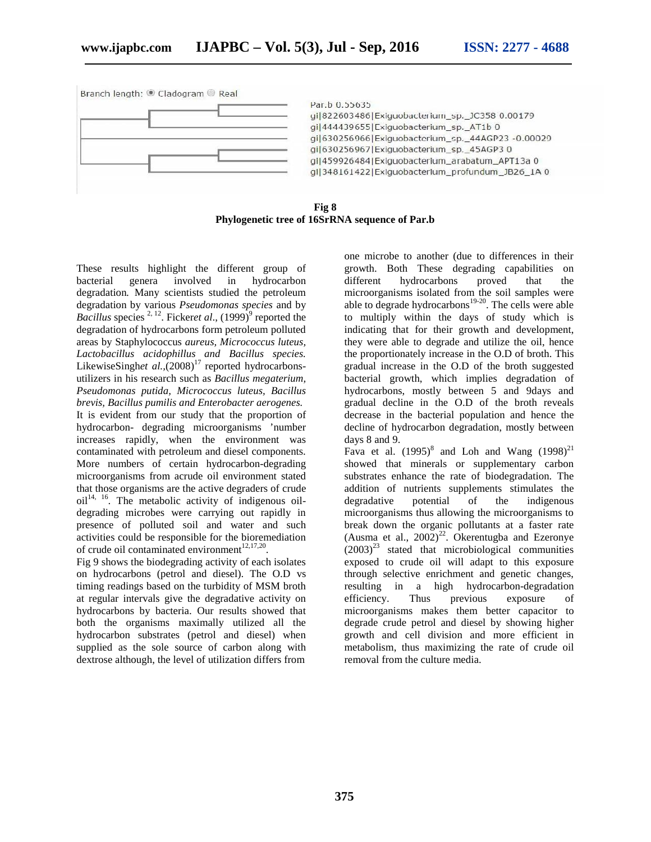

**Fig 8 Phylogenetic tree of 16SrRNA sequence of Par.b**

These results highlight the different group of bacterial genera involved in hydrocarbon degradation*.* Many scientists studied the petroleum degradation by various *Pseudomonas species* and by Bacillus species <sup>2, 12</sup>. Ficker*et al.*, (1999)<sup>9</sup> reported the degradation of hydrocarbons form petroleum polluted areas by Staphylococcus *aureus, Micrococcus luteus, Lactobacillus acidophillus and Bacillus species.* LikewiseSinghet al.,(2008)<sup>17</sup> reported hydrocarbonsutilizers in his research such as *Bacillus megaterium, Pseudomonas putida, Micrococcus luteus, Bacillus brevis, Bacillus pumilis and Enterobacter aerogenes.* It is evident from our study that the proportion of hydrocarbon- degrading microorganisms 'number increases rapidly, when the environment was contaminated with petroleum and diesel components. More numbers of certain hydrocarbon-degrading microorganisms from acrude oil environment stated that those organisms are the active degraders of crude  $oil<sup>14, 16</sup>$ . The metabolic activity of indigenous oildegrading microbes were carrying out rapidly in presence of polluted soil and water and such activities could be responsible for the bioremediation of crude oil contaminated environment $12,17,20$ .

Fig 9 shows the biodegrading activity of each isolates on hydrocarbons (petrol and diesel). The O.D vs timing readings based on the turbidity of MSM broth at regular intervals give the degradative activity on hydrocarbons by bacteria. Our results showed that both the organisms maximally utilized all the hydrocarbon substrates (petrol and diesel) when supplied as the sole source of carbon along with dextrose although, the level of utilization differs from

one microbe to another (due to differences in their growth. Both These degrading capabilities on hydrocarbons proved that the microorganisms isolated from the soil samples were able to degrade hydrocarbons<sup>19-20</sup>. The cells were able to multiply within the days of study which is indicating that for their growth and development, they were able to degrade and utilize the oil, hence the proportionately increase in the O.D of broth. This gradual increase in the O.D of the broth suggested bacterial growth, which implies degradation of hydrocarbons, mostly between 5 and 9days and gradual decline in the O.D of the broth reveals decrease in the bacterial population and hence the decline of hydrocarbon degradation, mostly between days 8 and 9.

Fava et al.  $(1995)^8$  and Loh and Wang  $(1998)^{21}$ showed that minerals or supplementary carbon substrates enhance the rate of biodegradation. The addition of nutrients supplements stimulates the degradative potential of the indigenous microorganisms thus allowing the microorganisms to break down the organic pollutants at a faster rate (Ausma et al.,  $2002)^{22}$ . Okerentugba and Ezeronye  $(2003)^{23}$  stated that microbiological communities exposed to crude oil will adapt to this exposure through selective enrichment and genetic changes, resulting in a high hydrocarbon-degradation Thus previous exposure of microorganisms makes them better capacitor to degrade crude petrol and diesel by showing higher growth and cell division and more efficient in metabolism, thus maximizing the rate of crude oil removal from the culture media.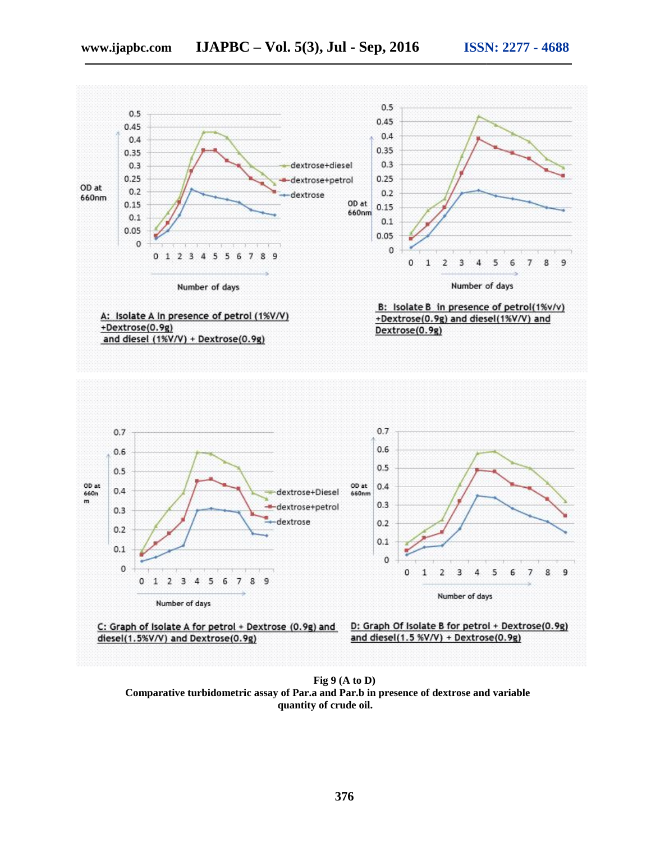

**Fig 9 (A to D) Comparative turbidometric assay of Par.a and Par.b in presence of dextrose and variable Comparative turbidometric quantity of crude oil.**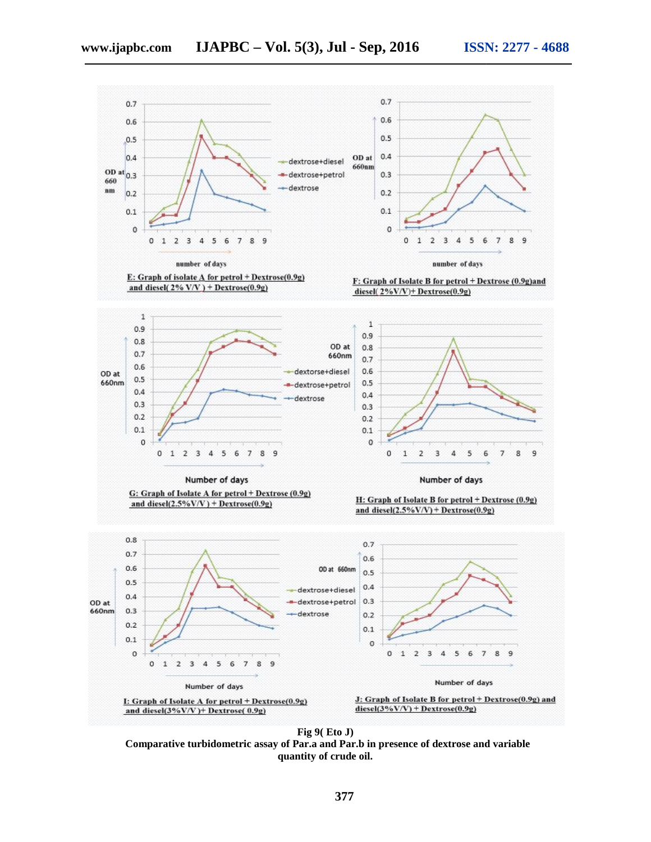



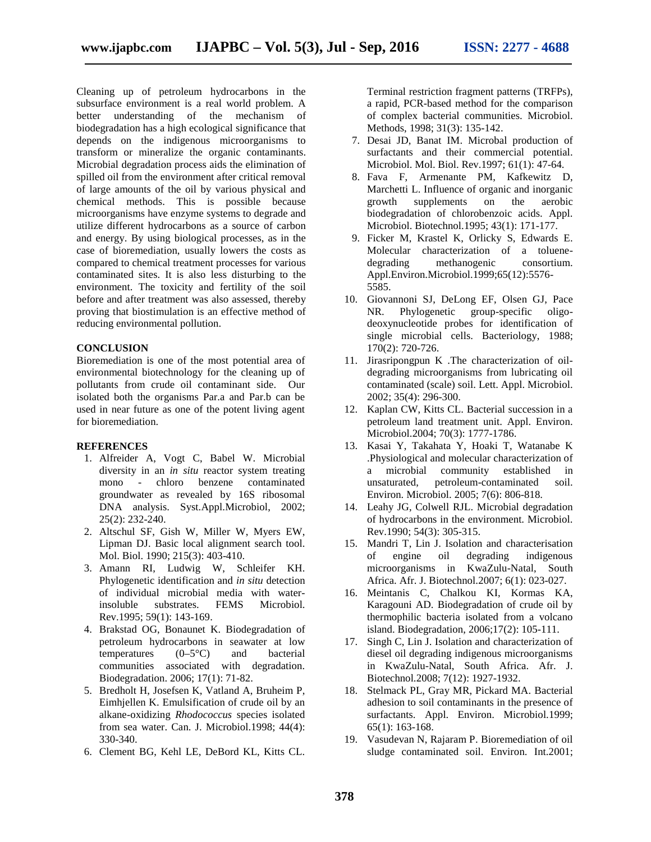Cleaning up of petroleum hydrocarbons in the subsurface environment is a real world problem. A better understanding of the mechanism of biodegradation has a high ecological significance that depends on the indigenous microorganisms to transform or mineralize the organic contaminants. Microbial degradation process aids the elimination of spilled oil from the environment after critical removal of large amounts of the oil by various physical and chemical methods. This is possible because microorganisms have enzyme systems to degrade and utilize different hydrocarbons as a source of carbon and energy. By using biological processes, as in the case of bioremediation, usually lowers the costs as compared to chemical treatment processes for various contaminated sites. It is also less disturbing to the environment. The toxicity and fertility of the soil before and after treatment was also assessed, thereby proving that biostimulation is an effective method of reducing environmental pollution.

#### **CONCLUSION**

Bioremediation is one of the most potential area of environmental biotechnology for the cleaning up of pollutants from crude oil contaminant side. Our isolated both the organisms Par.a and Par.b can be used in near future as one of the potent living agent for bioremediation.

#### **REFERENCES**

- 1. Alfreider A, Vogt C, Babel W. Microbial diversity in an *in situ* reactor system treating mono - chloro benzene contaminated groundwater as revealed by 16S ribosomal DNA analysis. Syst.Appl.Microbiol, 2002; 25(2): 232-240.
- 2. Altschul SF, Gish W, Miller W, Myers EW, Lipman DJ. Basic local alignment search tool. Mol. Biol. 1990; 215(3): 403-410.
- 3. Amann RI, Ludwig W, Schleifer KH. Phylogenetic identification and *in situ* detection of individual microbial media with waterinsoluble substrates. FEMS Microbiol. Rev.1995; 59(1): 143-169.
- 4. Brakstad OG, Bonaunet K. Biodegradation of petroleum hydrocarbons in seawater at low temperatures  $(0-5^{\circ}C)$  and bacterial communities associated with degradation. Biodegradation. 2006; 17(1): 71-82.
- 5. Bredholt H, Josefsen K, Vatland A, Bruheim P, Eimhjellen K. Emulsification of crude oil by an alkane-oxidizing *Rhodococcus* species isolated from sea water. Can. J. Microbiol.1998; 44(4): 330-340.
- 6. Clement BG, Kehl LE, DeBord KL, Kitts CL.

Terminal restriction fragment patterns (TRFPs), a rapid, PCR-based method for the comparison of complex bacterial communities. Microbiol. Methods, 1998; 31(3): 135-142.

- 7. Desai JD, Banat IM. Microbal production of surfactants and their commercial potential. Microbiol. Mol. Biol. Rev.1997; 61(1): 47-64.
- 8. Fava F, Armenante PM, Kafkewitz D, Marchetti L. Influence of organic and inorganic growth supplements on the aerobic biodegradation of chlorobenzoic acids. Appl. Microbiol. Biotechnol.1995; 43(1): 171-177.
- 9. Ficker M, Krastel K, Orlicky S, Edwards E. Molecular characterization of a toluene degrading methanogenic consortium. Appl.Environ.Microbiol.1999;65(12):5576- 5585.
- 10. Giovannoni SJ, DeLong EF, Olsen GJ, Pace NR. Phylogenetic group-specific oligo deoxynucleotide probes for identification of single microbial cells. Bacteriology, 1988; 170(2): 720-726.
- 11. Jirasripongpun K .The characterization of oil degrading microorganisms from lubricating oil contaminated (scale) soil. Lett. Appl. Microbiol. 2002; 35(4): 296-300.
- 12. Kaplan CW, Kitts CL. Bacterial succession in a petroleum land treatment unit. Appl. Environ. Microbiol.2004; 70(3): 1777-1786.
- 13. Kasai Y, Takahata Y, Hoaki T, Watanabe K .Physiological and molecular characterization of a microbial community established in unsaturated, petroleum-contaminated soil. Environ. Microbiol. 2005; 7(6): 806-818.
- 14. Leahy JG, Colwell RJL. Microbial degradation of hydrocarbons in the environment. Microbiol. Rev.1990; 54(3): 305-315.
- 15. Mandri T, Lin J. Isolation and characterisation of engine oil degrading indigenous microorganisms in KwaZulu-Natal, South Africa. Afr. J. Biotechnol.2007; 6(1): 023-027.
- 16. Meintanis C, Chalkou KI, Kormas KA, Karagouni AD. Biodegradation of crude oil by thermophilic bacteria isolated from a volcano island. Biodegradation, 2006;17(2): 105-111.
- 17. Singh C, Lin J. Isolation and characterization of diesel oil degrading indigenous microorganisms in KwaZulu-Natal, South Africa. Afr. J. Biotechnol.2008; 7(12): 1927-1932.
- 18. Stelmack PL, Gray MR, Pickard MA. Bacterial adhesion to soil contaminants in the presence of surfactants. Appl. Environ. Microbiol.1999; 65(1): 163-168.
- 19. Vasudevan N, Rajaram P. Bioremediation of oil sludge contaminated soil. Environ. Int.2001;